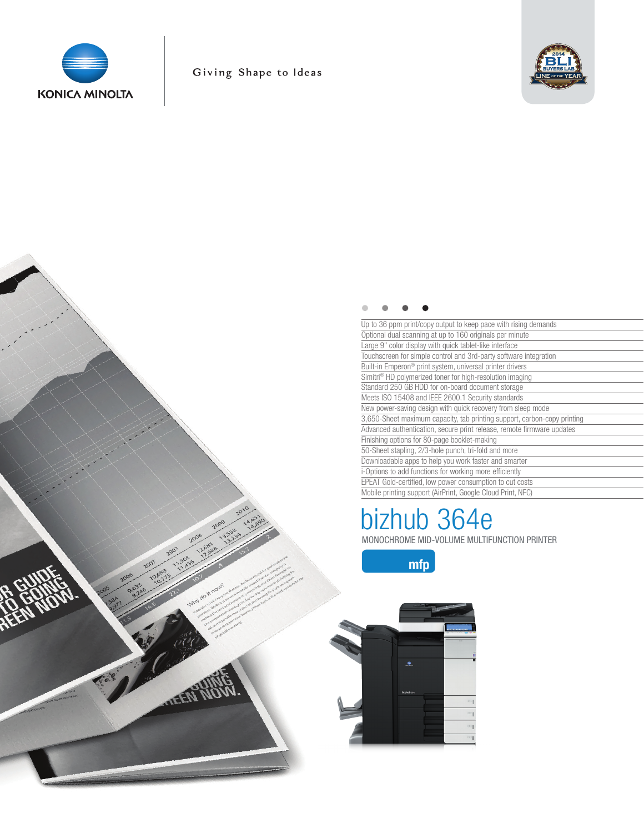



| Up to 36 ppm print/copy output to keep pace with rising demands          |
|--------------------------------------------------------------------------|
| Optional dual scanning at up to 160 originals per minute                 |
| Large 9" color display with quick tablet-like interface                  |
| Touchscreen for simple control and 3rd-party software integration        |
| Built-in Emperon <sup>®</sup> print system, universal printer drivers    |
| Simitri <sup>®</sup> HD polymerized toner for high-resolution imaging    |
| Standard 250 GB HDD for on-board document storage                        |
| Meets ISO 15408 and IEEE 2600.1 Security standards                       |
| New power-saving design with quick recovery from sleep mode              |
| 3,650-Sheet maximum capacity, tab printing support, carbon-copy printing |
| Advanced authentication, secure print release, remote firmware updates   |
| Finishing options for 80-page booklet-making                             |
| 50-Sheet stapling, 2/3-hole punch, tri-fold and more                     |
| Downloadable apps to help you work faster and smarter                    |
| i-Options to add functions for working more efficiently                  |
| EPEAT Gold-certified, low power consumption to cut costs                 |
| Mobile printing support (AirPrint, Google Cloud Print, NFC)              |

# MONOCHROME MID-VOLUME MULTIFUNCTION PRINTER bizhub 364e

mfp

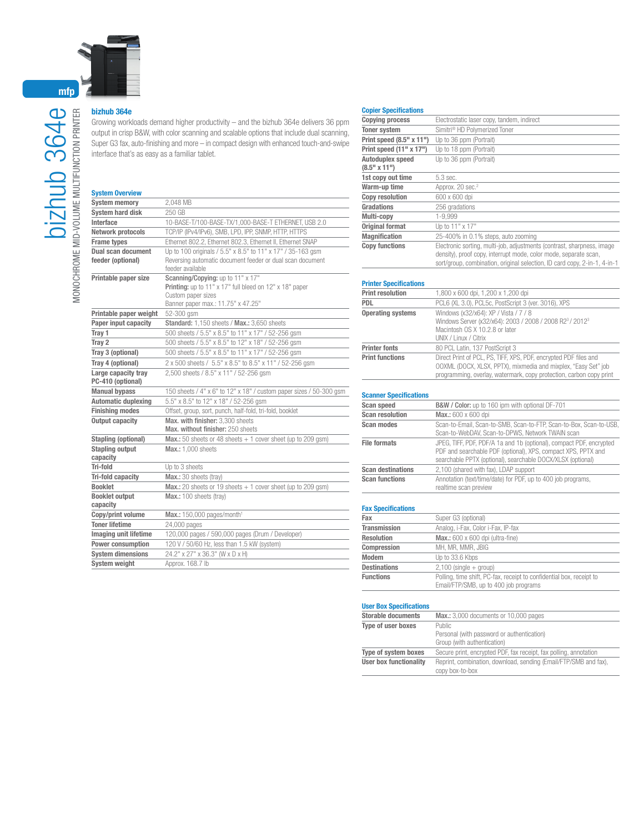

## bizhub 364e

Growing workloads demand higher productivity – and the bizhub 364e delivers 36 ppm output in crisp B&W, with color scanning and scalable options that include dual scanning, Super G3 fax, auto-finishing and more – in compact design with enhanced touch-and-swipe interface that's as easy as a familiar tablet.

#### System Overview

| <b>System memory</b>                     | 2.048 MB                                                                      |
|------------------------------------------|-------------------------------------------------------------------------------|
| <b>System hard disk</b>                  | 250 GB                                                                        |
| Interface                                | 10-BASE-T/100-BASE-TX/1,000-BASE-T ETHERNET, USB 2.0                          |
| Network protocols                        | TCP/IP (IPv4/IPv6), SMB, LPD, IPP, SNMP, HTTP, HTTPS                          |
| <b>Frame types</b>                       | Ethernet 802.2, Ethernet 802.3, Ethernet II, Ethernet SNAP                    |
| Dual scan document                       | Up to 100 originals / 5.5" x 8.5" to 11" x 17" / 35-163 gsm                   |
| feeder (optional)                        | Reversing automatic document feeder or dual scan document<br>feeder available |
| Printable paper size                     | Scanning/Copying: up to 11" x 17"                                             |
|                                          | Printing: up to 11" x 17" full bleed on 12" x 18" paper                       |
|                                          | Custom paper sizes                                                            |
|                                          | Banner paper max.: 11.75" x 47.25"                                            |
| Printable paper weight                   | 52-300 gsm                                                                    |
| Paper input capacity                     | Standard: 1,150 sheets / Max.: 3,650 sheets                                   |
| Tray 1                                   | 500 sheets / 5.5" x 8.5" to 11" x 17" / 52-256 gsm                            |
| Tray 2                                   | 500 sheets / 5.5" x 8.5" to 12" x 18" / 52-256 gsm                            |
| Tray 3 (optional)                        | 500 sheets / 5.5" x 8.5" to 11" x 17" / 52-256 gsm                            |
| Tray 4 (optional)                        | 2 x 500 sheets / 5.5" x 8.5" to 8.5" x 11" / 52-256 gsm                       |
| Large capacity tray<br>PC-410 (optional) | 2,500 sheets / 8.5" x 11" / 52-256 qsm                                        |
| <b>Manual bypass</b>                     | 150 sheets / 4" x 6" to 12" x 18" / custom paper sizes / 50-300 qsm           |
| <b>Automatic duplexing</b>               | 5.5" x 8.5" to 12" x 18" / 52-256 gsm                                         |
| <b>Finishing modes</b>                   | Offset, group, sort, punch, half-fold, tri-fold, booklet                      |
| <b>Output capacity</b>                   | Max. with finisher: 3.300 sheets                                              |
|                                          | Max. without finisher: 250 sheets                                             |
| Stapling (optional)                      | <b>Max.:</b> 50 sheets or 48 sheets $+1$ cover sheet (up to 209 gsm)          |
| <b>Stapling output</b><br>capacity       | Max.: 1,000 sheets                                                            |
| Tri-fold                                 | Up to 3 sheets                                                                |
| Tri-fold capacity                        | Max.: 30 sheets (trav)                                                        |
| <b>Booklet</b>                           | Max.: 20 sheets or 19 sheets $+1$ cover sheet (up to 209 gsm)                 |
| <b>Booklet output</b>                    | Max.: 100 sheets (tray)                                                       |
| capacity                                 |                                                                               |
| Copy/print volume                        | Max.: 150,000 pages/month <sup>1</sup>                                        |
| <b>Toner lifetime</b>                    | 24,000 pages                                                                  |
| <b>Imaging unit lifetime</b>             | 120,000 pages / 590,000 pages (Drum / Developer)                              |
| <b>Power consumption</b>                 | 120 V / 50/60 Hz, less than 1.5 kW (system)                                   |
| <b>System dimensions</b>                 | 24.2" x 27" x 36.3" (W x D x H)                                               |
| <b>System weight</b>                     | Approx, 168.7 lb                                                              |

### Copier Specifications

| <b>Copying process</b><br>Electrostatic laser copy, tandem, indirect<br>Simitri <sup>®</sup> HD Polymerized Toner<br><b>Toner system</b>                                                                                                         |  |
|--------------------------------------------------------------------------------------------------------------------------------------------------------------------------------------------------------------------------------------------------|--|
|                                                                                                                                                                                                                                                  |  |
|                                                                                                                                                                                                                                                  |  |
| Print speed (8.5" x 11")<br>Up to 36 ppm (Portrait)                                                                                                                                                                                              |  |
| Print speed $(11" x 17")$<br>Up to 18 ppm (Portrait)                                                                                                                                                                                             |  |
| Autoduplex speed<br>Up to 36 ppm (Portrait)                                                                                                                                                                                                      |  |
| $(8.5"$ x 11")                                                                                                                                                                                                                                   |  |
| 1st copy out time<br>5.3 sec.                                                                                                                                                                                                                    |  |
| Warm-up time<br>Approx. 20 sec. <sup>2</sup>                                                                                                                                                                                                     |  |
| <b>Copy resolution</b><br>600 x 600 dpi                                                                                                                                                                                                          |  |
| 256 gradations<br>Gradations                                                                                                                                                                                                                     |  |
| 1-9.999<br>Multi-copy                                                                                                                                                                                                                            |  |
| <b>Original format</b><br>Up to 11" x 17"                                                                                                                                                                                                        |  |
| <b>Magnification</b><br>25-400% in 0.1% steps, auto zooming                                                                                                                                                                                      |  |
| <b>Copy functions</b><br>Electronic sorting, multi-job, adjustments (contrast, sharpness, image<br>density), proof copy, interrupt mode, color mode, separate scan,<br>sort/group, combination, original selection, ID card copy, 2-in-1, 4-in-1 |  |

#### Printer Specifications

| <b>Print resolution</b>  | 1,800 x 600 dpi, 1,200 x 1,200 dpi                                                                                                                                                                        |
|--------------------------|-----------------------------------------------------------------------------------------------------------------------------------------------------------------------------------------------------------|
| <b>PDL</b>               | PCL6 (XL 3.0), PCL5c, PostScript 3 (ver. 3016), XPS                                                                                                                                                       |
| <b>Operating systems</b> | Windows (x32/x64): XP / Vista / 7 / 8<br>Windows Server (x32/x64): 2003 / 2008 / 2008 R23 / 20123<br>Macintosh OS X 10.2.8 or later<br>UNIX / Linux / Citrix                                              |
| <b>Printer fonts</b>     | 80 PCL Latin, 137 PostScript 3                                                                                                                                                                            |
| <b>Print functions</b>   | Direct Print of PCL, PS, TIFF, XPS, PDF, encrypted PDF files and<br>OOXML (DOCX, XLSX, PPTX), mixmedia and mixplex, "Easy Set" job<br>programming, overlay, watermark, copy protection, carbon copy print |

#### Scanner Specifications

| Scan speed               | B&W / Color: up to 160 ipm with optional DF-701                                                                                                                                                     |
|--------------------------|-----------------------------------------------------------------------------------------------------------------------------------------------------------------------------------------------------|
| <b>Scan resolution</b>   | Max.: 600 x 600 dpi                                                                                                                                                                                 |
| Scan modes               | Scan-to-Email, Scan-to-SMB, Scan-to-FTP, Scan-to-Box, Scan-to-USB,<br>Scan-to-WebDAV, Scan-to-DPWS, Network TWAIN scan                                                                              |
| <b>File formats</b>      | JPEG, TIFF, PDF, PDF/A 1a and 1b (optional), compact PDF, encrypted<br>PDF and searchable PDF (optional), XPS, compact XPS, PPTX and<br>searchable PPTX (optional), searchable DOCX/XLSX (optional) |
| <b>Scan destinations</b> | 2,100 (shared with fax), LDAP support                                                                                                                                                               |
| <b>Scan functions</b>    | Annotation (text/time/date) for PDF, up to 400 job programs,<br>realtime scan preview                                                                                                               |

#### Fax Specifications

| Fax                 | Super G3 (optional)                                                                                           |
|---------------------|---------------------------------------------------------------------------------------------------------------|
| <b>Transmission</b> | Analog, i-Fax, Color i-Fax, IP-fax                                                                            |
| <b>Resolution</b>   | Max.: 600 x 600 dpi (ultra-fine)                                                                              |
| Compression         | MH, MR, MMR, JBIG                                                                                             |
| <b>Modem</b>        | Up to 33.6 Kbps                                                                                               |
| <b>Destinations</b> | $2,100$ (single $+$ group)                                                                                    |
| <b>Functions</b>    | Polling, time shift, PC-fax, receipt to confidential box, receipt to<br>Email/FTP/SMB, up to 400 job programs |

#### User Box Specifications

| <b>Storable documents</b>     | Max.: 3,000 documents or 10,000 pages                             |
|-------------------------------|-------------------------------------------------------------------|
| Type of user boxes            | Public                                                            |
|                               | Personal (with password or authentication)                        |
|                               | Group (with authentication)                                       |
| Type of system boxes          | Secure print, encrypted PDF, fax receipt, fax polling, annotation |
| <b>User box functionality</b> | Reprint, combination, download, sending (Email/FTP/SMB and fax),  |
|                               | copy box-to-box                                                   |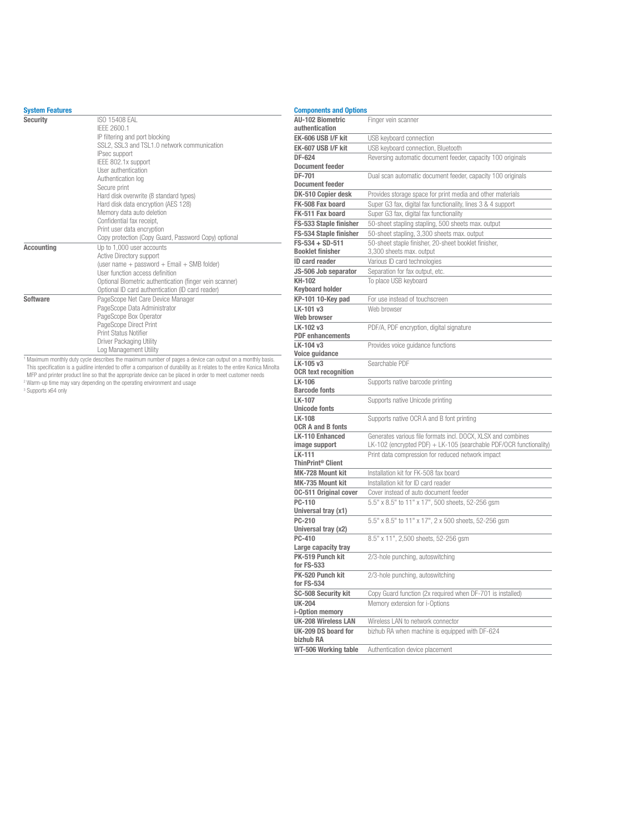#### System Features

| <b>Security</b>   | ISO 15408 FAI<br>IFFF 2600.1<br>IP filtering and port blocking<br>SSL2, SSL3 and TSL1.0 network communication<br>IPsec support<br>IEEE 802.1x support<br>User authentication<br>Authentication log<br>Secure print<br>Hard disk overwrite (8 standard types)<br>Hard disk data encryption (AES 128)<br>Memory data auto deletion<br>Confidential fax receipt,<br>Print user data encryption<br>Copy protection (Copy Guard, Password Copy) optional |
|-------------------|-----------------------------------------------------------------------------------------------------------------------------------------------------------------------------------------------------------------------------------------------------------------------------------------------------------------------------------------------------------------------------------------------------------------------------------------------------|
| <b>Accounting</b> | Up to 1,000 user accounts<br>Active Directory support<br>(user name + password + Email + SMB folder)<br>User function access definition<br>Optional Biometric authentication (finger vein scanner)<br>Optional ID card authentication (ID card reader)                                                                                                                                                                                              |
| Software          | PageScope Net Care Device Manager<br>PageScope Data Administrator<br>PageScope Box Operator<br>PageScope Direct Print<br>Print Status Notifier<br>Driver Packaging Utility<br>Log Management Utility                                                                                                                                                                                                                                                |

Log Management Utility<br>
Thaximum monthly duty cycle describes the maximum number of pages a device can output on a monthly basis.<br>
This specification is a guidline intended to offer a comparison of durability as it relates

| <b>Components and Options</b> |                                                                                                                                    |
|-------------------------------|------------------------------------------------------------------------------------------------------------------------------------|
| <b>AU-102 Biometric</b>       | Finger vein scanner                                                                                                                |
| authentication                |                                                                                                                                    |
| EK-606 USB I/F kit            | USB keyboard connection                                                                                                            |
| EK-607 USB I/F kit            | USB keyboard connection, Bluetooth                                                                                                 |
| DF-624                        | Reversing automatic document feeder, capacity 100 originals                                                                        |
| <b>Document feeder</b>        |                                                                                                                                    |
| DF-701                        | Dual scan automatic document feeder, capacity 100 originals                                                                        |
| <b>Document feeder</b>        |                                                                                                                                    |
| DK-510 Copier desk            | Provides storage space for print media and other materials                                                                         |
| FK-508 Fax board              | Super G3 fax, digital fax functionality, lines 3 & 4 support                                                                       |
| FK-511 Fax board              | Super G3 fax, digital fax functionality                                                                                            |
| FS-533 Staple finisher        | 50-sheet stapling stapling, 500 sheets max. output                                                                                 |
| FS-534 Staple finisher        | 50-sheet stapling, 3,300 sheets max. output                                                                                        |
| FS-534 + SD-511               | 50-sheet staple finisher, 20-sheet booklet finisher,                                                                               |
| <b>Booklet finisher</b>       | 3,300 sheets max. output                                                                                                           |
| <b>ID card reader</b>         | Various ID card technologies                                                                                                       |
| JS-506 Job separator          | Separation for fax output, etc.                                                                                                    |
| KH-102                        | To place USB keyboard                                                                                                              |
| <b>Keyboard holder</b>        |                                                                                                                                    |
| KP-101 10-Key pad             | For use instead of touchscreen                                                                                                     |
| LK-101 v3                     | Web browser                                                                                                                        |
| Web browser<br>LK-102 v3      | PDF/A, PDF encryption, digital signature                                                                                           |
| <b>PDF</b> enhancements       |                                                                                                                                    |
| LK-104 v3                     | Provides voice quidance functions                                                                                                  |
| Voice guidance                |                                                                                                                                    |
| LK-105 v3                     | Searchable PDF                                                                                                                     |
| <b>OCR text recognition</b>   |                                                                                                                                    |
| LK-106                        | Supports native barcode printing                                                                                                   |
| <b>Barcode fonts</b>          |                                                                                                                                    |
| LK-107                        | Supports native Unicode printing                                                                                                   |
| <b>Unicode fonts</b>          |                                                                                                                                    |
| <b>LK-108</b>                 | Supports native OCR A and B font printing                                                                                          |
| <b>OCR A and B fonts</b>      |                                                                                                                                    |
| LK-110 Enhanced               | Generates various file formats incl. DOCX, XLSX and combines<br>LK-102 (encrypted PDF) + LK-105 (searchable PDF/OCR functionality) |
| image support<br>LK-111       | Print data compression for reduced network impact                                                                                  |
| ThinPrint <sup>®</sup> Client |                                                                                                                                    |
| MK-728 Mount kit              | Installation kit for FK-508 fax board                                                                                              |
| MK-735 Mount kit              | Installation kit for ID card reader                                                                                                |
| <b>0C-511 Original cover</b>  | Cover instead of auto document feeder                                                                                              |
| PC-110                        | 5.5" x 8.5" to 11" x 17", 500 sheets, 52-256 gsm                                                                                   |
| Universal tray (x1)           |                                                                                                                                    |
| PC-210                        | 5.5" x 8.5" to 11" x 17", 2 x 500 sheets, 52-256 gsm                                                                               |
| Universal tray (x2)           |                                                                                                                                    |
| PC-410                        | 8.5" x 11", 2,500 sheets, 52-256 gsm                                                                                               |
| Large capacity tray           |                                                                                                                                    |
| PK-519 Punch kit              | 2/3-hole punching, autoswitching                                                                                                   |
| for FS-533                    |                                                                                                                                    |
| PK-520 Punch kit              | 2/3-hole punching, autoswitching                                                                                                   |
| for FS-534                    |                                                                                                                                    |
| SC-508 Security kit           | Copy Guard function (2x required when DF-701 is installed)                                                                         |
| <b>UK-204</b>                 | Memory extension for i-Options                                                                                                     |
| i-Option memory               |                                                                                                                                    |
| <b>UK-208 Wireless LAN</b>    | Wireless LAN to network connector                                                                                                  |
| UK-209 DS board for           | bizhub RA when machine is equipped with DF-624                                                                                     |
| bizhub RA                     |                                                                                                                                    |
| WT-506 Working table          | Authentication device placement                                                                                                    |